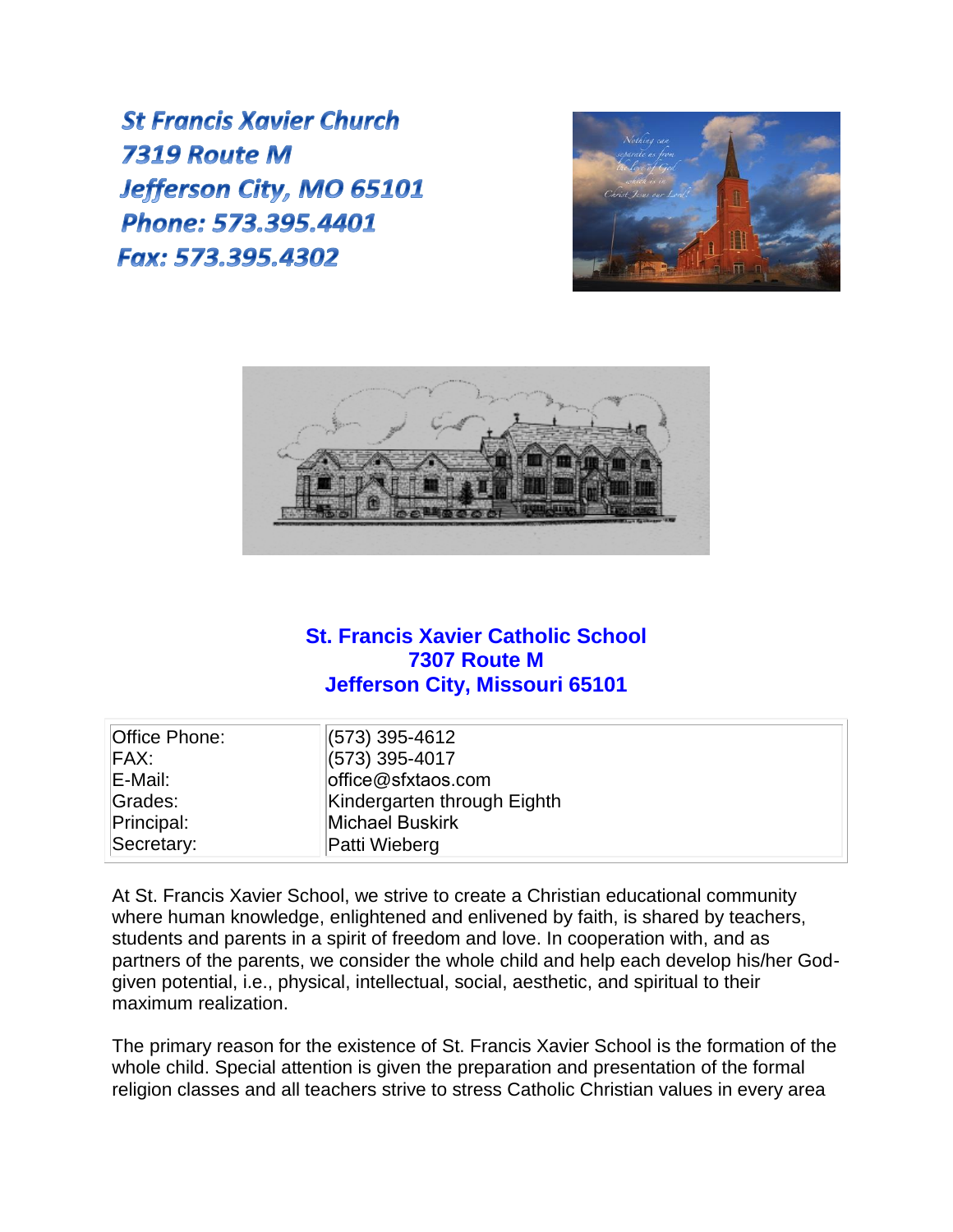**St Francis Xavier Church** 7319 Route M Jefferson City, MO 65101 Phone: 573.395.4401 Fax: 573,395,4302





## **St. Francis Xavier Catholic School 7307 Route M Jefferson City, Missouri 65101**

| Office Phone: | (573) 395-4612              |
|---------------|-----------------------------|
| FAX:          | $(573)$ 395-4017            |
| E-Mail:       | office@sfxtaos.com          |
| Grades:       | Kindergarten through Eighth |
| Principal:    | Michael Buskirk             |
| Secretary:    | Patti Wieberg               |

At St. Francis Xavier School, we strive to create a Christian educational community where human knowledge, enlightened and enlivened by faith, is shared by teachers, students and parents in a spirit of freedom and love. In cooperation with, and as partners of the parents, we consider the whole child and help each develop his/her Godgiven potential, i.e., physical, intellectual, social, aesthetic, and spiritual to their maximum realization.

The primary reason for the existence of St. Francis Xavier School is the formation of the whole child. Special attention is given the preparation and presentation of the formal religion classes and all teachers strive to stress Catholic Christian values in every area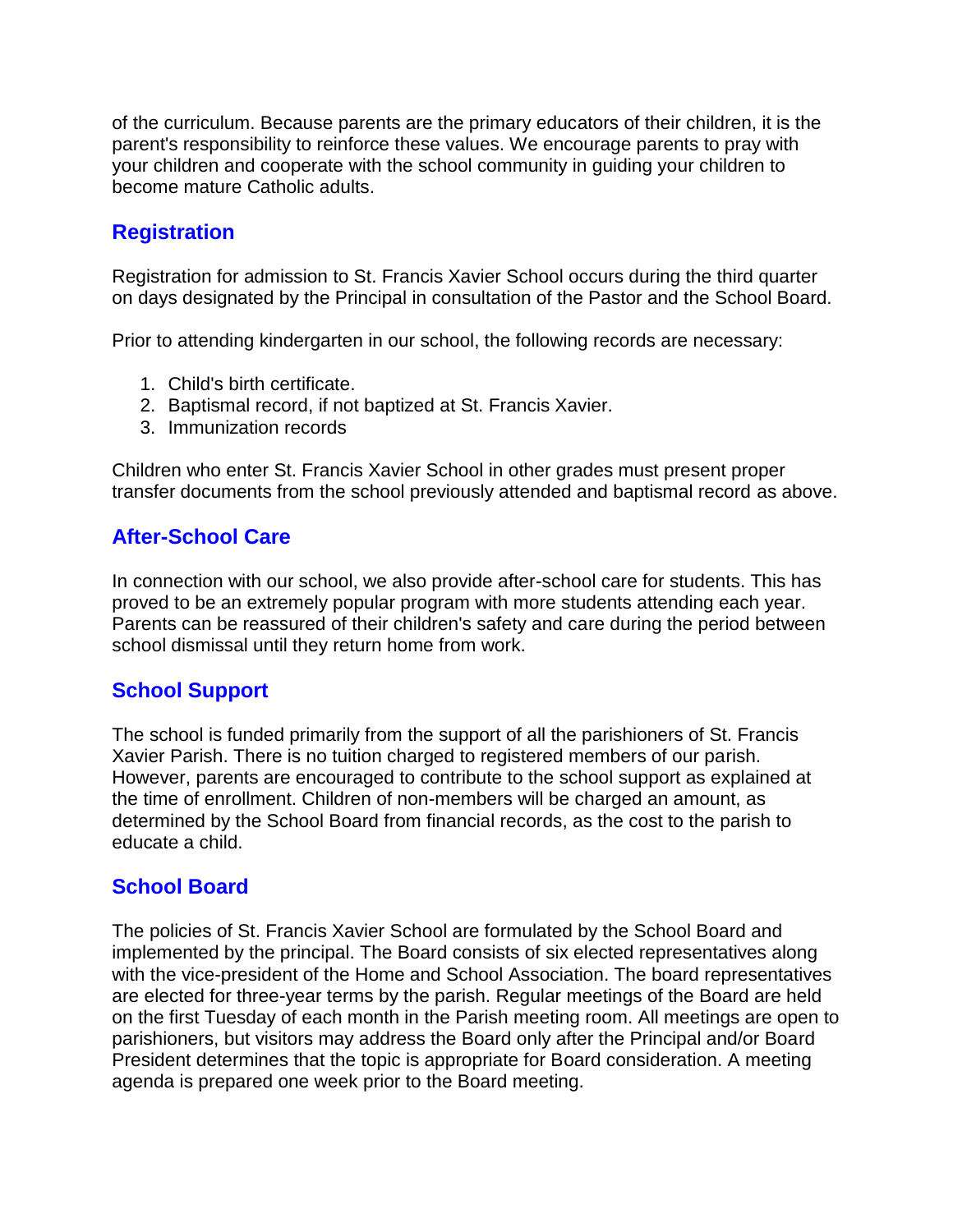of the curriculum. Because parents are the primary educators of their children, it is the parent's responsibility to reinforce these values. We encourage parents to pray with your children and cooperate with the school community in guiding your children to become mature Catholic adults.

# **Registration**

Registration for admission to St. Francis Xavier School occurs during the third quarter on days designated by the Principal in consultation of the Pastor and the School Board.

Prior to attending kindergarten in our school, the following records are necessary:

- 1. Child's birth certificate.
- 2. Baptismal record, if not baptized at St. Francis Xavier.
- 3. Immunization records

Children who enter St. Francis Xavier School in other grades must present proper transfer documents from the school previously attended and baptismal record as above.

#### **After-School Care**

In connection with our school, we also provide after-school care for students. This has proved to be an extremely popular program with more students attending each year. Parents can be reassured of their children's safety and care during the period between school dismissal until they return home from work.

#### **School Support**

The school is funded primarily from the support of all the parishioners of St. Francis Xavier Parish. There is no tuition charged to registered members of our parish. However, parents are encouraged to contribute to the school support as explained at the time of enrollment. Children of non-members will be charged an amount, as determined by the School Board from financial records, as the cost to the parish to educate a child.

#### **School Board**

The policies of St. Francis Xavier School are formulated by the School Board and implemented by the principal. The Board consists of six elected representatives along with the vice-president of the Home and School Association. The board representatives are elected for three-year terms by the parish. Regular meetings of the Board are held on the first Tuesday of each month in the Parish meeting room. All meetings are open to parishioners, but visitors may address the Board only after the Principal and/or Board President determines that the topic is appropriate for Board consideration. A meeting agenda is prepared one week prior to the Board meeting.